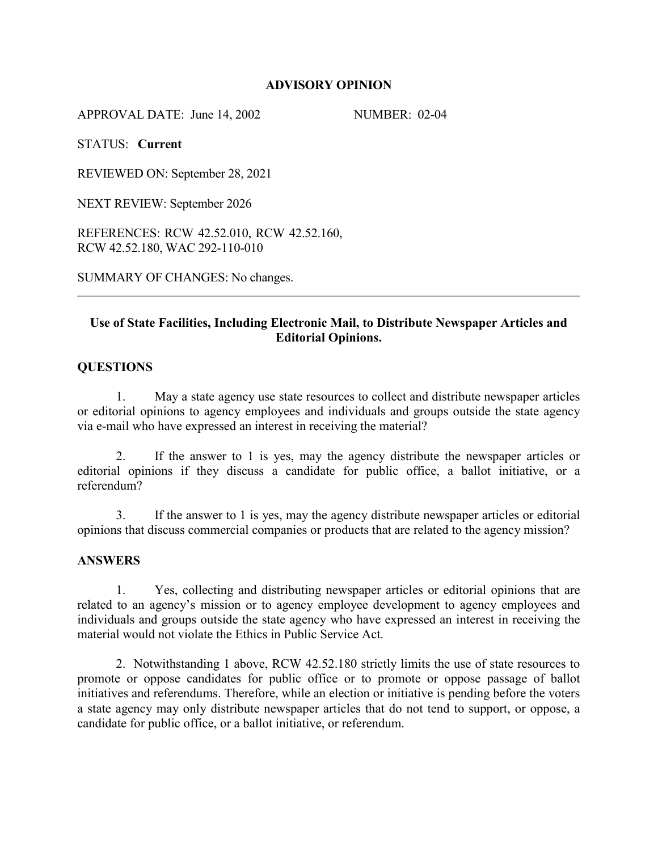### **ADVISORY OPINION**

APPROVAL DATE: June 14, 2002 NUMBER: 02-04

STATUS: **Current**

REVIEWED ON: September 28, 2021

NEXT REVIEW: September 2026

REFERENCES: RCW 42.52.010, RCW 42.52.160, RCW 42.52.180, WAC 292-110-010

SUMMARY OF CHANGES: No changes.

# **Use of State Facilities, Including Electronic Mail, to Distribute Newspaper Articles and Editorial Opinions.**

## **QUESTIONS**

1. May a state agency use state resources to collect and distribute newspaper articles or editorial opinions to agency employees and individuals and groups outside the state agency via e-mail who have expressed an interest in receiving the material?

2. If the answer to 1 is yes, may the agency distribute the newspaper articles or editorial opinions if they discuss a candidate for public office, a ballot initiative, or a referendum?

3. If the answer to 1 is yes, may the agency distribute newspaper articles or editorial opinions that discuss commercial companies or products that are related to the agency mission?

#### **ANSWERS**

1. Yes, collecting and distributing newspaper articles or editorial opinions that are related to an agency's mission or to agency employee development to agency employees and individuals and groups outside the state agency who have expressed an interest in receiving the material would not violate the Ethics in Public Service Act.

2. Notwithstanding 1 above, RCW 42.52.180 strictly limits the use of state resources to promote or oppose candidates for public office or to promote or oppose passage of ballot initiatives and referendums. Therefore, while an election or initiative is pending before the voters a state agency may only distribute newspaper articles that do not tend to support, or oppose, a candidate for public office, or a ballot initiative, or referendum.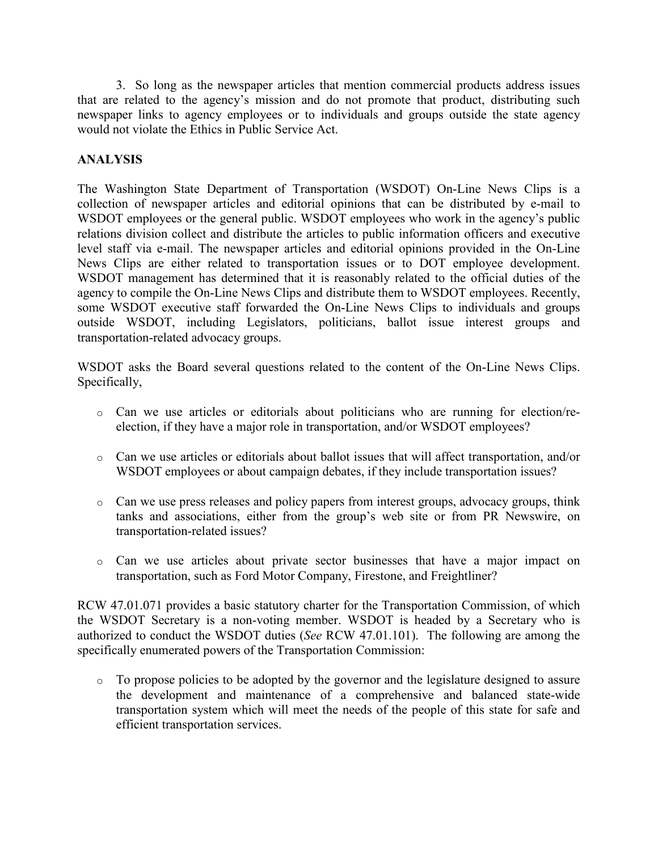3. So long as the newspaper articles that mention commercial products address issues that are related to the agency's mission and do not promote that product, distributing such newspaper links to agency employees or to individuals and groups outside the state agency would not violate the Ethics in Public Service Act.

# **ANALYSIS**

The Washington State Department of Transportation (WSDOT) On-Line News Clips is a collection of newspaper articles and editorial opinions that can be distributed by e-mail to WSDOT employees or the general public. WSDOT employees who work in the agency's public relations division collect and distribute the articles to public information officers and executive level staff via e-mail. The newspaper articles and editorial opinions provided in the On-Line News Clips are either related to transportation issues or to DOT employee development. WSDOT management has determined that it is reasonably related to the official duties of the agency to compile the On-Line News Clips and distribute them to WSDOT employees. Recently, some WSDOT executive staff forwarded the On-Line News Clips to individuals and groups outside WSDOT, including Legislators, politicians, ballot issue interest groups and transportation-related advocacy groups.

WSDOT asks the Board several questions related to the content of the On-Line News Clips. Specifically,

- o Can we use articles or editorials about politicians who are running for election/reelection, if they have a major role in transportation, and/or WSDOT employees?
- o Can we use articles or editorials about ballot issues that will affect transportation, and/or WSDOT employees or about campaign debates, if they include transportation issues?
- o Can we use press releases and policy papers from interest groups, advocacy groups, think tanks and associations, either from the group's web site or from PR Newswire, on transportation-related issues?
- o Can we use articles about private sector businesses that have a major impact on transportation, such as Ford Motor Company, Firestone, and Freightliner?

RCW 47.01.071 provides a basic statutory charter for the Transportation Commission, of which the WSDOT Secretary is a non-voting member. WSDOT is headed by a Secretary who is authorized to conduct the WSDOT duties (*See* RCW 47.01.101). The following are among the specifically enumerated powers of the Transportation Commission:

o To propose policies to be adopted by the governor and the legislature designed to assure the development and maintenance of a comprehensive and balanced state-wide transportation system which will meet the needs of the people of this state for safe and efficient transportation services.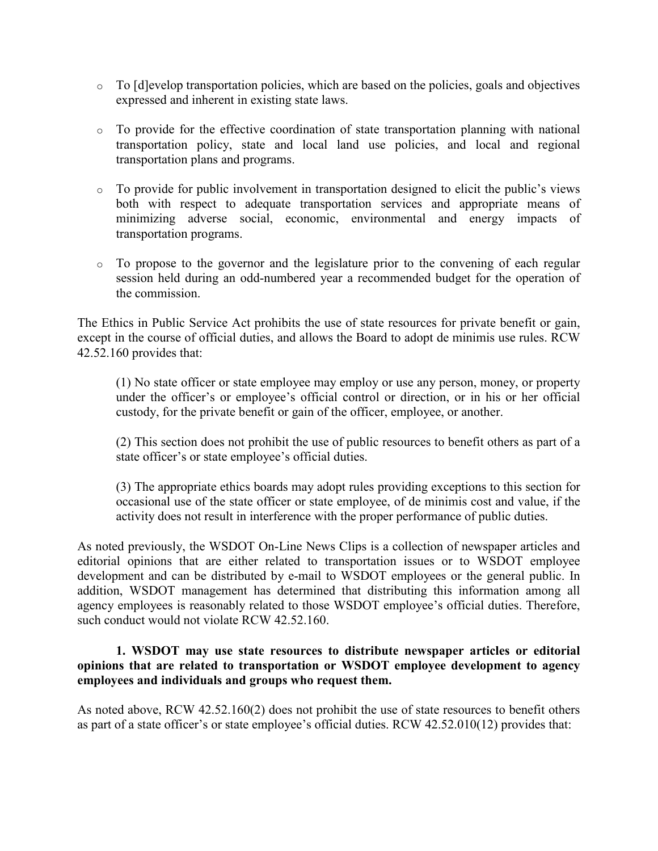- $\circ$  To [d]evelop transportation policies, which are based on the policies, goals and objectives expressed and inherent in existing state laws.
- o To provide for the effective coordination of state transportation planning with national transportation policy, state and local land use policies, and local and regional transportation plans and programs.
- o To provide for public involvement in transportation designed to elicit the public's views both with respect to adequate transportation services and appropriate means of minimizing adverse social, economic, environmental and energy impacts of transportation programs.
- o To propose to the governor and the legislature prior to the convening of each regular session held during an odd-numbered year a recommended budget for the operation of the commission.

The Ethics in Public Service Act prohibits the use of state resources for private benefit or gain, except in the course of official duties, and allows the Board to adopt de minimis use rules. RCW 42.52.160 provides that:

(1) No state officer or state employee may employ or use any person, money, or property under the officer's or employee's official control or direction, or in his or her official custody, for the private benefit or gain of the officer, employee, or another.

(2) This section does not prohibit the use of public resources to benefit others as part of a state officer's or state employee's official duties.

(3) The appropriate ethics boards may adopt rules providing exceptions to this section for occasional use of the state officer or state employee, of de minimis cost and value, if the activity does not result in interference with the proper performance of public duties.

As noted previously, the WSDOT On-Line News Clips is a collection of newspaper articles and editorial opinions that are either related to transportation issues or to WSDOT employee development and can be distributed by e-mail to WSDOT employees or the general public. In addition, WSDOT management has determined that distributing this information among all agency employees is reasonably related to those WSDOT employee's official duties. Therefore, such conduct would not violate RCW 42.52.160.

# **1. WSDOT may use state resources to distribute newspaper articles or editorial opinions that are related to transportation or WSDOT employee development to agency employees and individuals and groups who request them.**

As noted above, RCW 42.52.160(2) does not prohibit the use of state resources to benefit others as part of a state officer's or state employee's official duties. RCW 42.52.010(12) provides that: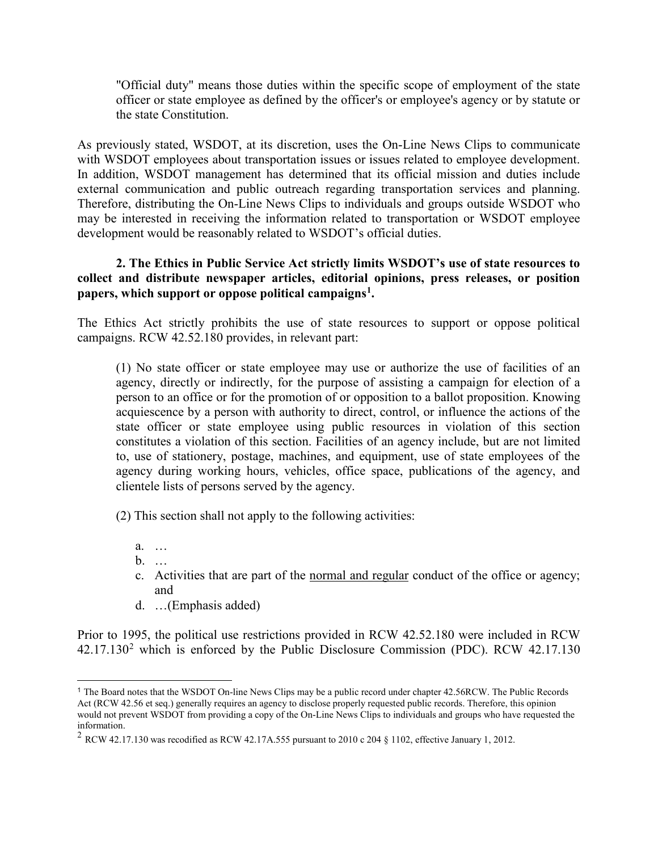"Official duty" means those duties within the specific scope of employment of the state officer or state employee as defined by the officer's or employee's agency or by statute or the state Constitution.

As previously stated, WSDOT, at its discretion, uses the On-Line News Clips to communicate with WSDOT employees about transportation issues or issues related to employee development. In addition, WSDOT management has determined that its official mission and duties include external communication and public outreach regarding transportation services and planning. Therefore, distributing the On-Line News Clips to individuals and groups outside WSDOT who may be interested in receiving the information related to transportation or WSDOT employee development would be reasonably related to WSDOT's official duties.

# **2. The Ethics in Public Service Act strictly limits WSDOT's use of state resources to collect and distribute newspaper articles, editorial opinions, press releases, or position papers, which support or oppose political campaigns[1.](#page-3-0)**

The Ethics Act strictly prohibits the use of state resources to support or oppose political campaigns. RCW 42.52.180 provides, in relevant part:

(1) No state officer or state employee may use or authorize the use of facilities of an agency, directly or indirectly, for the purpose of assisting a campaign for election of a person to an office or for the promotion of or opposition to a ballot proposition. Knowing acquiescence by a person with authority to direct, control, or influence the actions of the state officer or state employee using public resources in violation of this section constitutes a violation of this section. Facilities of an agency include, but are not limited to, use of stationery, postage, machines, and equipment, use of state employees of the agency during working hours, vehicles, office space, publications of the agency, and clientele lists of persons served by the agency.

(2) This section shall not apply to the following activities:

- a. …
- b. …

 $\overline{a}$ 

- c. Activities that are part of the normal and regular conduct of the office or agency; and
- d. …(Emphasis added)

Prior to 1995, the political use restrictions provided in RCW 42.52.180 were included in RCW 4[2](#page-3-1).17.130<sup>2</sup> which is enforced by the Public Disclosure Commission (PDC). RCW 42.17.130

<span id="page-3-0"></span><sup>1</sup> The Board notes that the WSDOT On-line News Clips may be a public record under chapter 42.56RCW. The Public Records Act (RCW 42.56 et seq.) generally requires an agency to disclose properly requested public records. Therefore, this opinion would not prevent WSDOT from providing a copy of the On-Line News Clips to individuals and groups who have requested the information.

<span id="page-3-1"></span> $2$  RCW [42.17.130](http://app.leg.wa.gov/RCW/default.aspx?cite=42.17.130) was recodified as RC[W 42.17A.555](http://app.leg.wa.gov/RCW/default.aspx?cite=42.17A.555) pursuant to 2010 c 204 § 1102, effective January 1, 2012.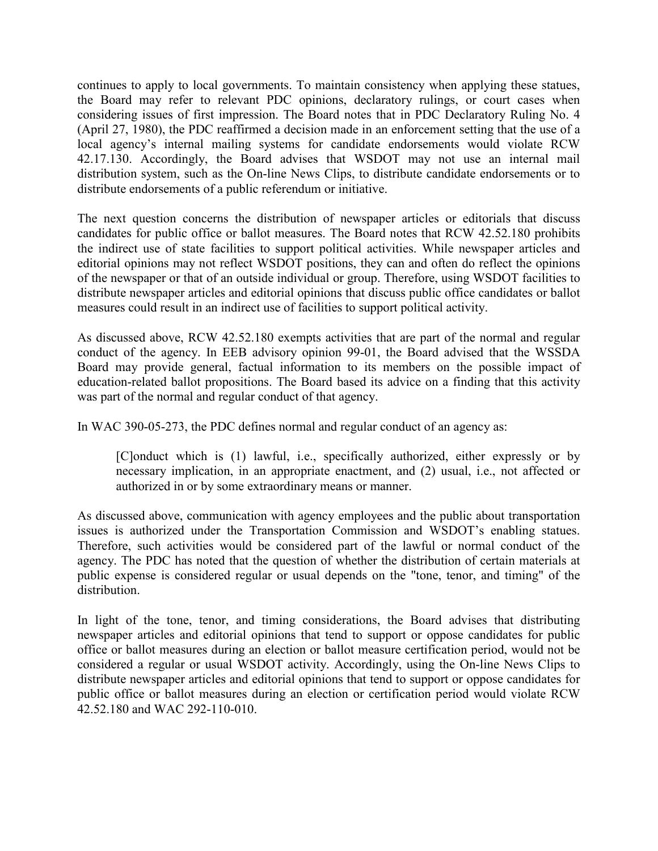continues to apply to local governments. To maintain consistency when applying these statues, the Board may refer to relevant PDC opinions, declaratory rulings, or court cases when considering issues of first impression. The Board notes that in PDC Declaratory Ruling No. 4 (April 27, 1980), the PDC reaffirmed a decision made in an enforcement setting that the use of a local agency's internal mailing systems for candidate endorsements would violate RCW 42.17.130. Accordingly, the Board advises that WSDOT may not use an internal mail distribution system, such as the On-line News Clips, to distribute candidate endorsements or to distribute endorsements of a public referendum or initiative.

The next question concerns the distribution of newspaper articles or editorials that discuss candidates for public office or ballot measures. The Board notes that RCW 42.52.180 prohibits the indirect use of state facilities to support political activities. While newspaper articles and editorial opinions may not reflect WSDOT positions, they can and often do reflect the opinions of the newspaper or that of an outside individual or group. Therefore, using WSDOT facilities to distribute newspaper articles and editorial opinions that discuss public office candidates or ballot measures could result in an indirect use of facilities to support political activity.

As discussed above, RCW 42.52.180 exempts activities that are part of the normal and regular conduct of the agency. In EEB advisory opinion 99-01, the Board advised that the WSSDA Board may provide general, factual information to its members on the possible impact of education-related ballot propositions. The Board based its advice on a finding that this activity was part of the normal and regular conduct of that agency.

In WAC 390-05-273, the PDC defines normal and regular conduct of an agency as:

[C]onduct which is (1) lawful, i.e., specifically authorized, either expressly or by necessary implication, in an appropriate enactment, and (2) usual, i.e., not affected or authorized in or by some extraordinary means or manner.

As discussed above, communication with agency employees and the public about transportation issues is authorized under the Transportation Commission and WSDOT's enabling statues. Therefore, such activities would be considered part of the lawful or normal conduct of the agency. The PDC has noted that the question of whether the distribution of certain materials at public expense is considered regular or usual depends on the "tone, tenor, and timing" of the distribution.

In light of the tone, tenor, and timing considerations, the Board advises that distributing newspaper articles and editorial opinions that tend to support or oppose candidates for public office or ballot measures during an election or ballot measure certification period, would not be considered a regular or usual WSDOT activity. Accordingly, using the On-line News Clips to distribute newspaper articles and editorial opinions that tend to support or oppose candidates for public office or ballot measures during an election or certification period would violate RCW 42.52.180 and WAC 292-110-010.